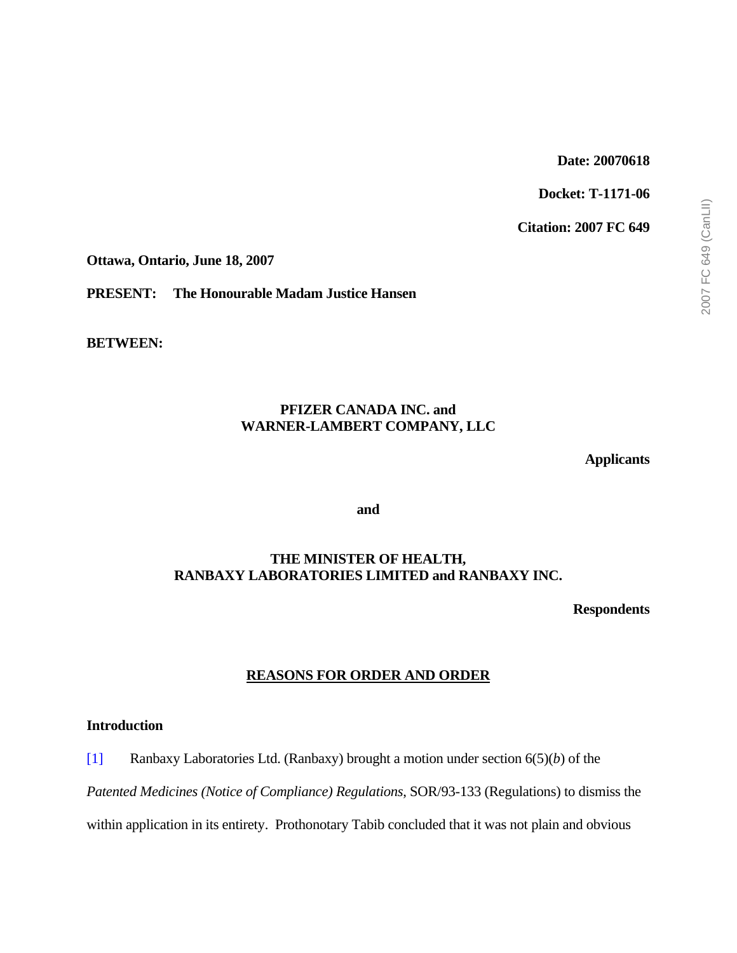### **Date: 20070618**

**Docket: T-1171-06** 

**Citation: 2007 FC 649** 

**Ottawa, Ontario, June 18, 2007** 

**PRESENT: The Honourable Madam Justice Hansen** 

**BETWEEN:** 

## **PFIZER CANADA INC. and WARNER-LAMBERT COMPANY, LLC**

**Applicants** 

**and** 

### **THE MINISTER OF HEALTH, RANBAXY LABORATORIES LIMITED and RANBAXY INC.**

**Respondents** 

## **REASONS FOR ORDER AND ORDER**

### **Introduction**

[1] Ranbaxy Laboratories Ltd. (Ranbaxy) brought a motion under section 6(5)(*b*) of the

*Patented Medicines (Notice of Compliance) Regulations*, SOR/93-133 (Regulations) to dismiss the

within application in its entirety. Prothonotary Tabib concluded that it was not plain and obvious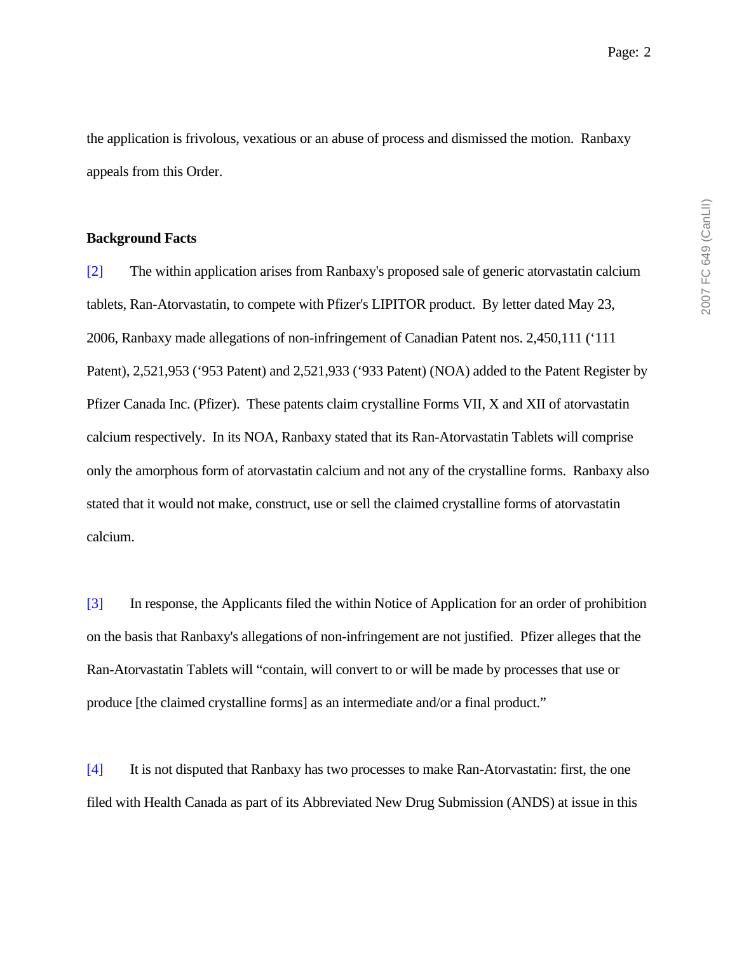the application is frivolous, vexatious or an abuse of process and dismissed the motion. Ranbaxy appeals from this Order.

#### **Background Facts**

[2] The within application arises from Ranbaxy's proposed sale of generic atorvastatin calcium tablets, Ran-Atorvastatin, to compete with Pfizer's LIPITOR product. By letter dated May 23, 2006, Ranbaxy made allegations of non-infringement of Canadian Patent nos. 2,450,111 ('111 Patent), 2,521,953 ('953 Patent) and 2,521,933 ('933 Patent) (NOA) added to the Patent Register by Pfizer Canada Inc. (Pfizer). These patents claim crystalline Forms VII, X and XII of atorvastatin calcium respectively. In its NOA, Ranbaxy stated that its Ran-Atorvastatin Tablets will comprise only the amorphous form of atorvastatin calcium and not any of the crystalline forms. Ranbaxy also stated that it would not make, construct, use or sell the claimed crystalline forms of atorvastatin calcium.

[3] In response, the Applicants filed the within Notice of Application for an order of prohibition on the basis that Ranbaxy's allegations of non-infringement are not justified. Pfizer alleges that the Ran-Atorvastatin Tablets will "contain, will convert to or will be made by processes that use or produce [the claimed crystalline forms] as an intermediate and/or a final product."

[4] It is not disputed that Ranbaxy has two processes to make Ran-Atorvastatin: first, the one filed with Health Canada as part of its Abbreviated New Drug Submission (ANDS) at issue in this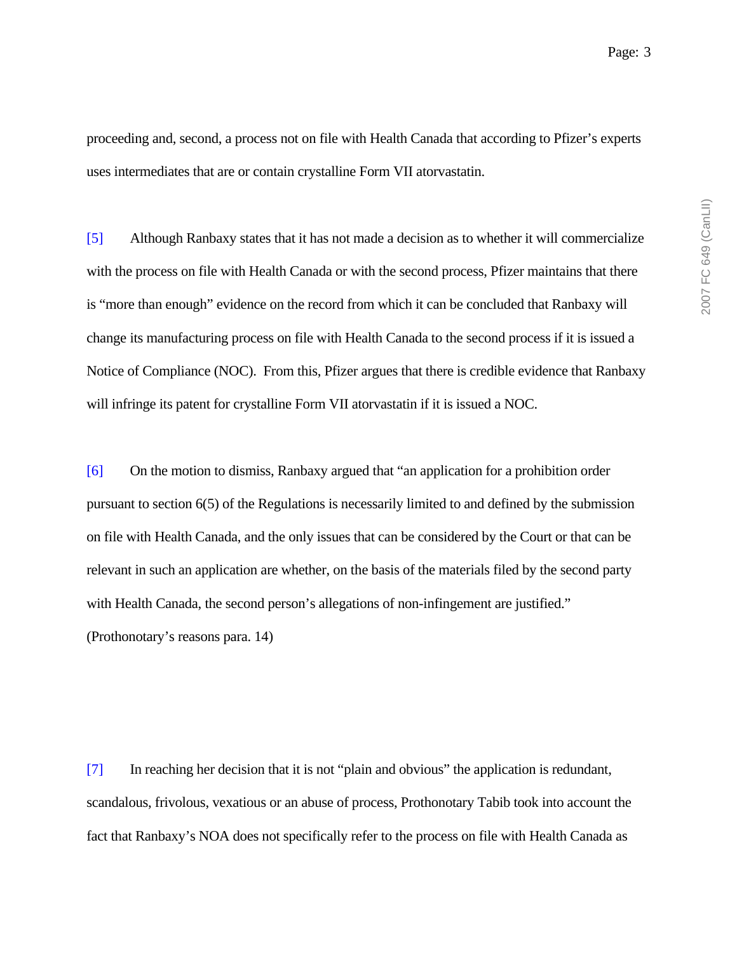proceeding and, second, a process not on file with Health Canada that according to Pfizer's experts uses intermediates that are or contain crystalline Form VII atorvastatin.

[5] Although Ranbaxy states that it has not made a decision as to whether it will commercialize with the process on file with Health Canada or with the second process, Pfizer maintains that there is "more than enough" evidence on the record from which it can be concluded that Ranbaxy will change its manufacturing process on file with Health Canada to the second process if it is issued a Notice of Compliance (NOC). From this, Pfizer argues that there is credible evidence that Ranbaxy will infringe its patent for crystalline Form VII atorvastatin if it is issued a NOC.

[6] On the motion to dismiss, Ranbaxy argued that "an application for a prohibition order pursuant to section 6(5) of the Regulations is necessarily limited to and defined by the submission on file with Health Canada, and the only issues that can be considered by the Court or that can be relevant in such an application are whether, on the basis of the materials filed by the second party with Health Canada, the second person's allegations of non-infingement are justified." (Prothonotary's reasons para. 14)

[7] In reaching her decision that it is not "plain and obvious" the application is redundant, scandalous, frivolous, vexatious or an abuse of process, Prothonotary Tabib took into account the fact that Ranbaxy's NOA does not specifically refer to the process on file with Health Canada as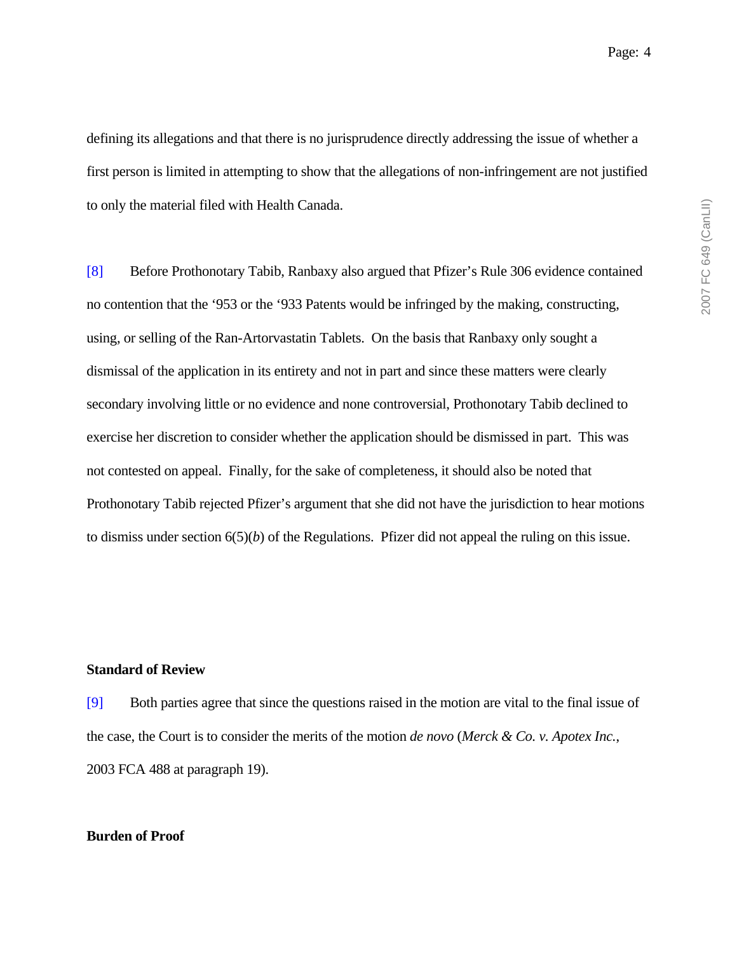defining its allegations and that there is no jurisprudence directly addressing the issue of whether a first person is limited in attempting to show that the allegations of non-infringement are not justified to only the material filed with Health Canada.

[8] Before Prothonotary Tabib, Ranbaxy also argued that Pfizer's Rule 306 evidence contained no contention that the '953 or the '933 Patents would be infringed by the making, constructing, using, or selling of the Ran-Artorvastatin Tablets. On the basis that Ranbaxy only sought a dismissal of the application in its entirety and not in part and since these matters were clearly secondary involving little or no evidence and none controversial, Prothonotary Tabib declined to exercise her discretion to consider whether the application should be dismissed in part. This was not contested on appeal. Finally, for the sake of completeness, it should also be noted that Prothonotary Tabib rejected Pfizer's argument that she did not have the jurisdiction to hear motions to dismiss under section 6(5)(*b*) of the Regulations. Pfizer did not appeal the ruling on this issue.

#### **Standard of Review**

[9] Both parties agree that since the questions raised in the motion are vital to the final issue of the case, the Court is to consider the merits of the motion *de novo* (*Merck & Co. v. Apotex Inc.*, 2003 FCA 488 at paragraph 19).

#### **Burden of Proof**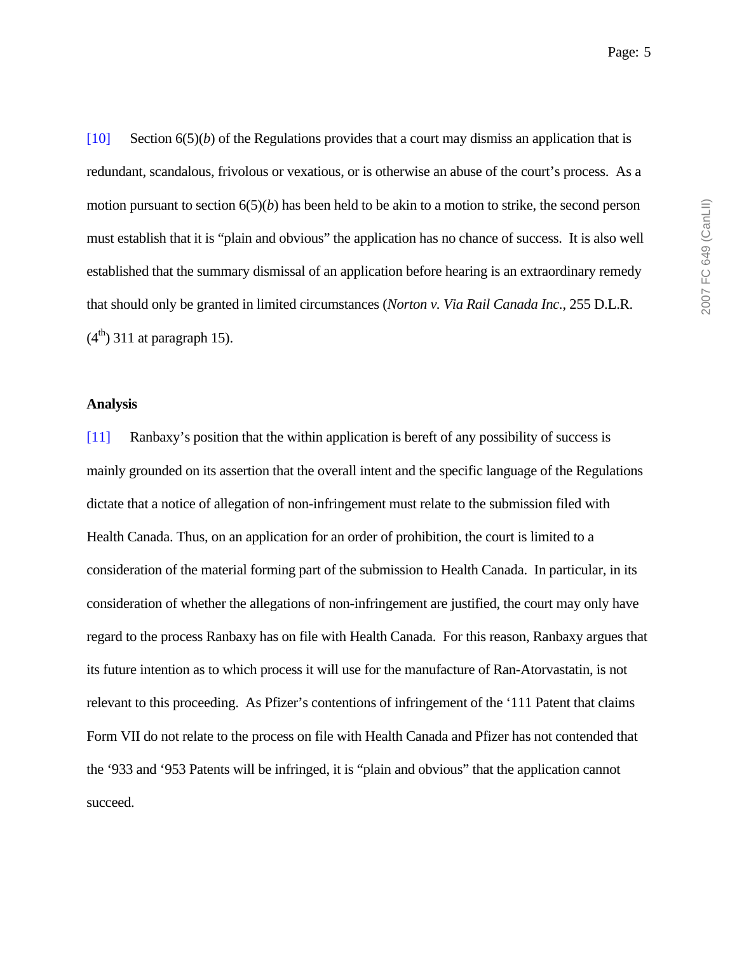redundant, scandalous, frivolous or vexatious, or is otherwise an abuse of the court's process. As a motion pursuant to section 6(5)(*b*) has been held to be akin to a motion to strike, the second person must establish that it is "plain and obvious" the application has no chance of success. It is also well established that the summary dismissal of an application before hearing is an extraordinary remedy that should only be granted in limited circumstances (*Norton v. Via Rail Canada Inc.*, 255 D.L.R.  $(4<sup>th</sup>)$  311 at paragraph 15).

#### **Analysis**

[11] Ranbaxy's position that the within application is bereft of any possibility of success is mainly grounded on its assertion that the overall intent and the specific language of the Regulations dictate that a notice of allegation of non-infringement must relate to the submission filed with Health Canada. Thus, on an application for an order of prohibition, the court is limited to a consideration of the material forming part of the submission to Health Canada. In particular, in its consideration of whether the allegations of non-infringement are justified, the court may only have regard to the process Ranbaxy has on file with Health Canada. For this reason, Ranbaxy argues that its future intention as to which process it will use for the manufacture of Ran-Atorvastatin, is not relevant to this proceeding. As Pfizer's contentions of infringement of the '111 Patent that claims Form VII do not relate to the process on file with Health Canada and Pfizer has not contended that the '933 and '953 Patents will be infringed, it is "plain and obvious" that the application cannot succeed.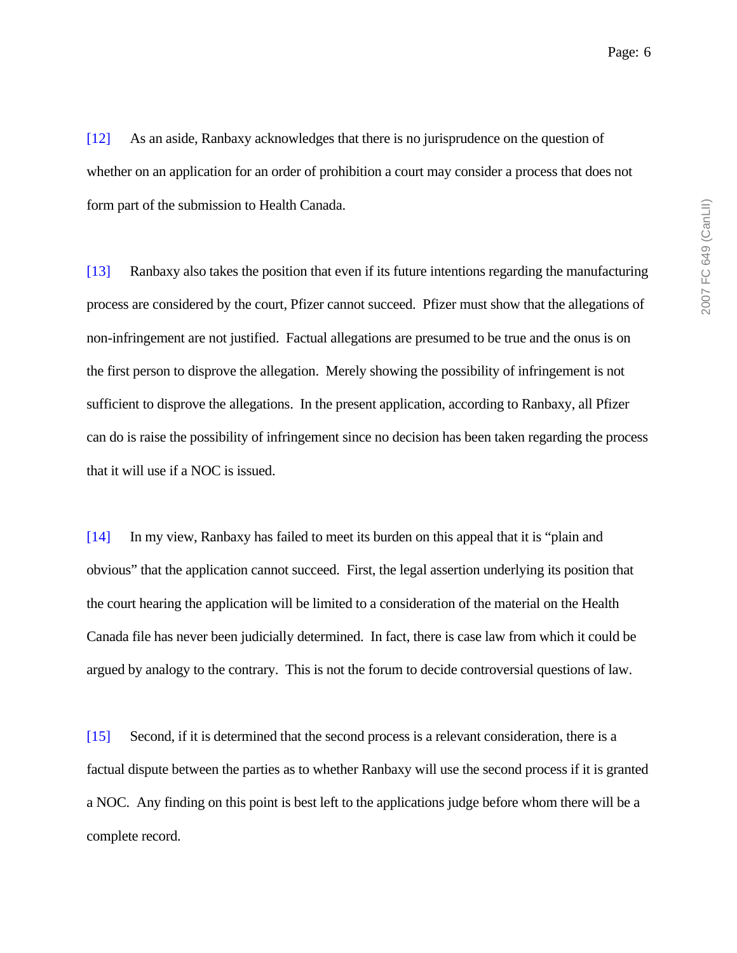[12] As an aside, Ranbaxy acknowledges that there is no jurisprudence on the question of whether on an application for an order of prohibition a court may consider a process that does not form part of the submission to Health Canada.

[13] Ranbaxy also takes the position that even if its future intentions regarding the manufacturing process are considered by the court, Pfizer cannot succeed. Pfizer must show that the allegations of non-infringement are not justified. Factual allegations are presumed to be true and the onus is on the first person to disprove the allegation. Merely showing the possibility of infringement is not sufficient to disprove the allegations. In the present application, according to Ranbaxy, all Pfizer can do is raise the possibility of infringement since no decision has been taken regarding the process that it will use if a NOC is issued.

[14] In my view, Ranbaxy has failed to meet its burden on this appeal that it is "plain and obvious" that the application cannot succeed. First, the legal assertion underlying its position that the court hearing the application will be limited to a consideration of the material on the Health Canada file has never been judicially determined. In fact, there is case law from which it could be argued by analogy to the contrary. This is not the forum to decide controversial questions of law.

[15] Second, if it is determined that the second process is a relevant consideration, there is a factual dispute between the parties as to whether Ranbaxy will use the second process if it is granted a NOC. Any finding on this point is best left to the applications judge before whom there will be a complete record.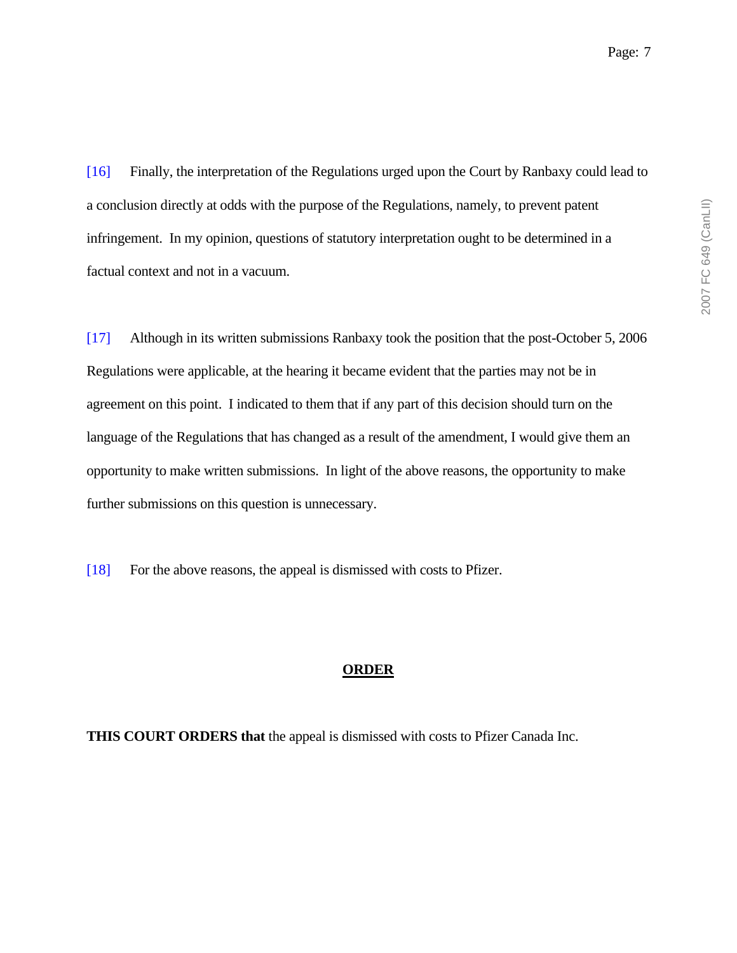[16] Finally, the interpretation of the Regulations urged upon the Court by Ranbaxy could lead to a conclusion directly at odds with the purpose of the Regulations, namely, to prevent patent infringement. In my opinion, questions of statutory interpretation ought to be determined in a factual context and not in a vacuum.

[17] Although in its written submissions Ranbaxy took the position that the post-October 5, 2006 Regulations were applicable, at the hearing it became evident that the parties may not be in agreement on this point. I indicated to them that if any part of this decision should turn on the language of the Regulations that has changed as a result of the amendment, I would give them an opportunity to make written submissions. In light of the above reasons, the opportunity to make further submissions on this question is unnecessary.

[18] For the above reasons, the appeal is dismissed with costs to Pfizer.

#### **ORDER**

**THIS COURT ORDERS that** the appeal is dismissed with costs to Pfizer Canada Inc.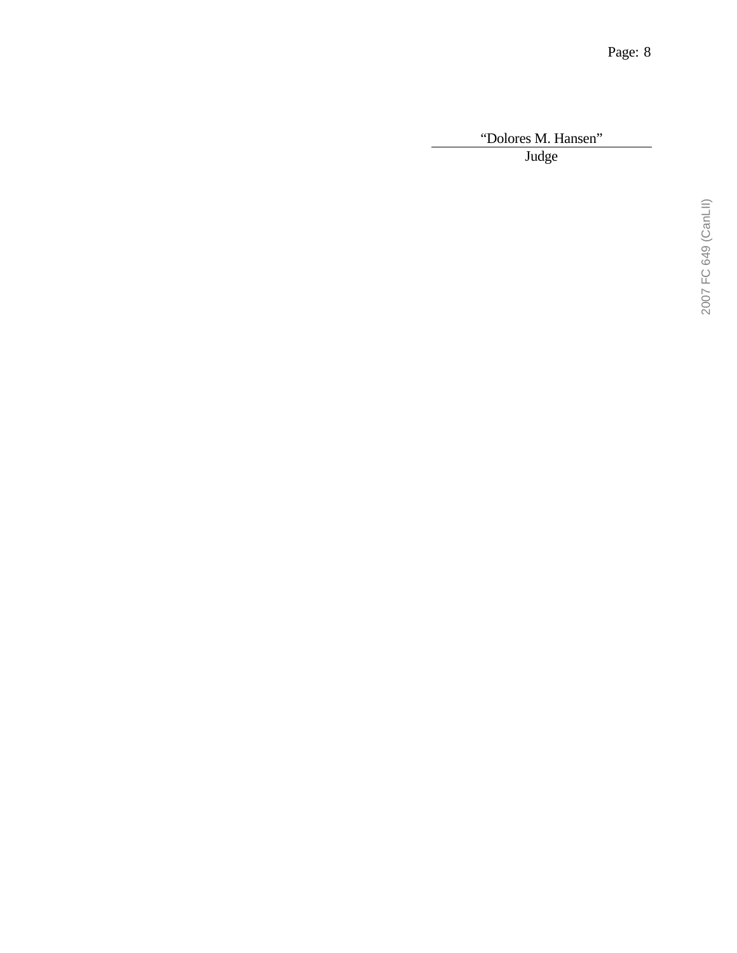"Dolores M. Hansen"

Judge